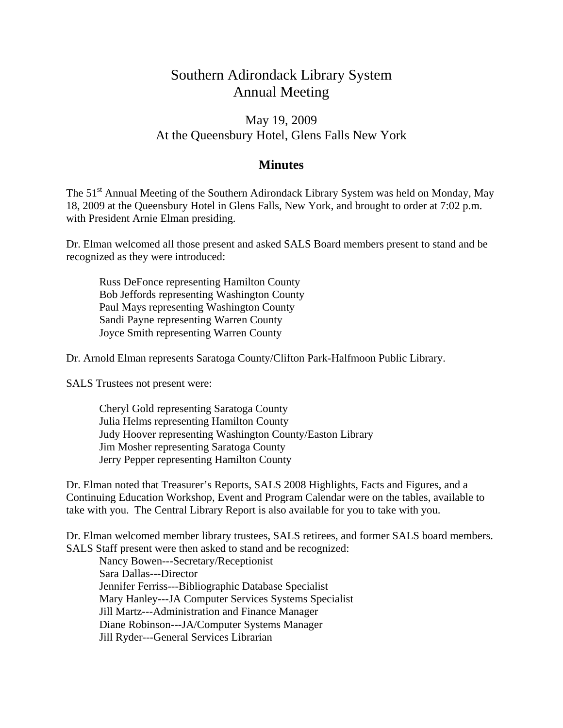## Southern Adirondack Library System Annual Meeting

## May 19, 2009 At the Queensbury Hotel, Glens Falls New York

## **Minutes**

The 51<sup>st</sup> Annual Meeting of the Southern Adirondack Library System was held on Monday, May 18, 2009 at the Queensbury Hotel in Glens Falls, New York, and brought to order at 7:02 p.m. with President Arnie Elman presiding.

Dr. Elman welcomed all those present and asked SALS Board members present to stand and be recognized as they were introduced:

 Russ DeFonce representing Hamilton County Bob Jeffords representing Washington County Paul Mays representing Washington County Sandi Payne representing Warren County Joyce Smith representing Warren County

Dr. Arnold Elman represents Saratoga County/Clifton Park-Halfmoon Public Library.

SALS Trustees not present were:

 Cheryl Gold representing Saratoga County Julia Helms representing Hamilton County Judy Hoover representing Washington County/Easton Library Jim Mosher representing Saratoga County Jerry Pepper representing Hamilton County

Dr. Elman noted that Treasurer's Reports, SALS 2008 Highlights, Facts and Figures, and a Continuing Education Workshop, Event and Program Calendar were on the tables, available to take with you. The Central Library Report is also available for you to take with you.

Dr. Elman welcomed member library trustees, SALS retirees, and former SALS board members. SALS Staff present were then asked to stand and be recognized:

 Nancy Bowen---Secretary/Receptionist Sara Dallas---Director Jennifer Ferriss---Bibliographic Database Specialist Mary Hanley---JA Computer Services Systems Specialist Jill Martz---Administration and Finance Manager Diane Robinson---JA/Computer Systems Manager Jill Ryder---General Services Librarian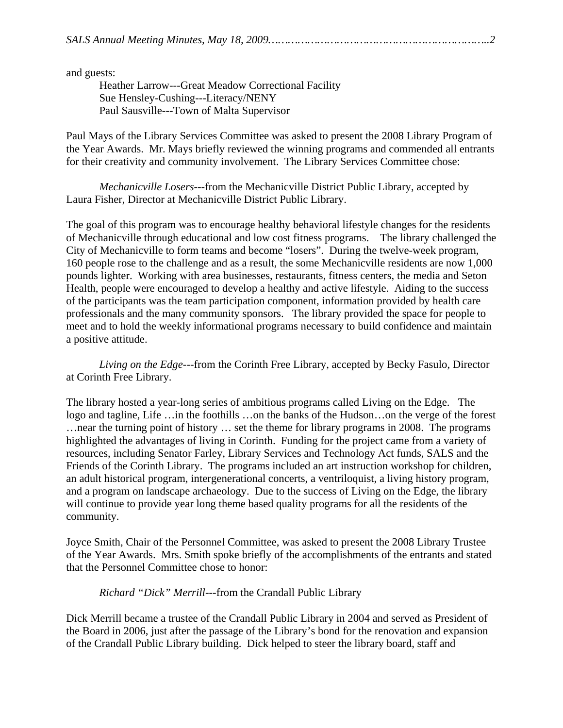and guests:

 Heather Larrow---Great Meadow Correctional Facility Sue Hensley-Cushing---Literacy/NENY Paul Sausville---Town of Malta Supervisor

Paul Mays of the Library Services Committee was asked to present the 2008 Library Program of the Year Awards. Mr. Mays briefly reviewed the winning programs and commended all entrants for their creativity and community involvement. The Library Services Committee chose:

*Mechanicville Losers*---from the Mechanicville District Public Library, accepted by Laura Fisher, Director at Mechanicville District Public Library.

The goal of this program was to encourage healthy behavioral lifestyle changes for the residents of Mechanicville through educational and low cost fitness programs. The library challenged the City of Mechanicville to form teams and become "losers". During the twelve-week program, 160 people rose to the challenge and as a result, the some Mechanicville residents are now 1,000 pounds lighter. Working with area businesses, restaurants, fitness centers, the media and Seton Health, people were encouraged to develop a healthy and active lifestyle. Aiding to the success of the participants was the team participation component, information provided by health care professionals and the many community sponsors. The library provided the space for people to meet and to hold the weekly informational programs necessary to build confidence and maintain a positive attitude.

*Living on the Edge*---from the Corinth Free Library, accepted by Becky Fasulo, Director at Corinth Free Library.

The library hosted a year-long series of ambitious programs called Living on the Edge. The logo and tagline, Life …in the foothills …on the banks of the Hudson…on the verge of the forest …near the turning point of history … set the theme for library programs in 2008. The programs highlighted the advantages of living in Corinth. Funding for the project came from a variety of resources, including Senator Farley, Library Services and Technology Act funds, SALS and the Friends of the Corinth Library. The programs included an art instruction workshop for children, an adult historical program, intergenerational concerts, a ventriloquist, a living history program, and a program on landscape archaeology. Due to the success of Living on the Edge, the library will continue to provide year long theme based quality programs for all the residents of the community.

Joyce Smith, Chair of the Personnel Committee, was asked to present the 2008 Library Trustee of the Year Awards. Mrs. Smith spoke briefly of the accomplishments of the entrants and stated that the Personnel Committee chose to honor:

*Richard "Dick" Merrill*---from the Crandall Public Library

Dick Merrill became a trustee of the Crandall Public Library in 2004 and served as President of the Board in 2006, just after the passage of the Library's bond for the renovation and expansion of the Crandall Public Library building. Dick helped to steer the library board, staff and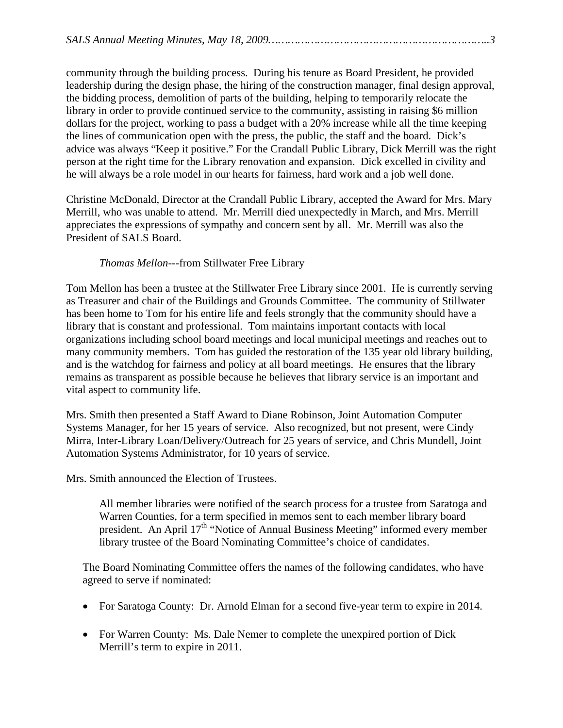community through the building process. During his tenure as Board President, he provided leadership during the design phase, the hiring of the construction manager, final design approval, the bidding process, demolition of parts of the building, helping to temporarily relocate the library in order to provide continued service to the community, assisting in raising \$6 million dollars for the project, working to pass a budget with a 20% increase while all the time keeping the lines of communication open with the press, the public, the staff and the board. Dick's advice was always "Keep it positive." For the Crandall Public Library, Dick Merrill was the right person at the right time for the Library renovation and expansion. Dick excelled in civility and he will always be a role model in our hearts for fairness, hard work and a job well done.

Christine McDonald, Director at the Crandall Public Library, accepted the Award for Mrs. Mary Merrill, who was unable to attend. Mr. Merrill died unexpectedly in March, and Mrs. Merrill appreciates the expressions of sympathy and concern sent by all. Mr. Merrill was also the President of SALS Board.

## *Thomas Mellon*---from Stillwater Free Library

Tom Mellon has been a trustee at the Stillwater Free Library since 2001. He is currently serving as Treasurer and chair of the Buildings and Grounds Committee. The community of Stillwater has been home to Tom for his entire life and feels strongly that the community should have a library that is constant and professional. Tom maintains important contacts with local organizations including school board meetings and local municipal meetings and reaches out to many community members. Tom has guided the restoration of the 135 year old library building, and is the watchdog for fairness and policy at all board meetings. He ensures that the library remains as transparent as possible because he believes that library service is an important and vital aspect to community life.

Mrs. Smith then presented a Staff Award to Diane Robinson, Joint Automation Computer Systems Manager, for her 15 years of service. Also recognized, but not present, were Cindy Mirra, Inter-Library Loan/Delivery/Outreach for 25 years of service, and Chris Mundell, Joint Automation Systems Administrator, for 10 years of service.

Mrs. Smith announced the Election of Trustees.

All member libraries were notified of the search process for a trustee from Saratoga and Warren Counties, for a term specified in memos sent to each member library board president. An April  $17<sup>th</sup>$  "Notice of Annual Business Meeting" informed every member library trustee of the Board Nominating Committee's choice of candidates.

The Board Nominating Committee offers the names of the following candidates, who have agreed to serve if nominated:

- For Saratoga County: Dr. Arnold Elman for a second five-year term to expire in 2014.
- For Warren County: Ms. Dale Nemer to complete the unexpired portion of Dick Merrill's term to expire in 2011.